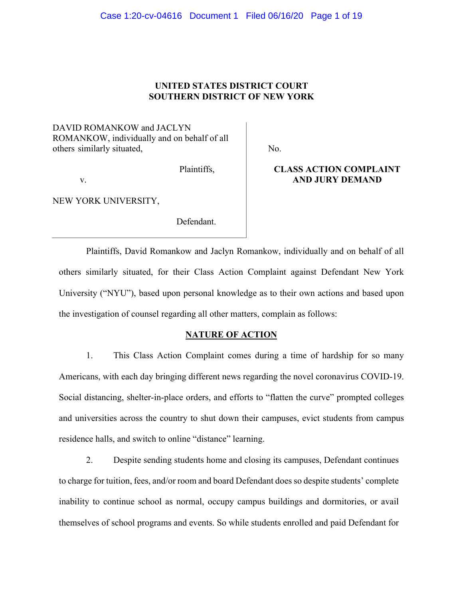# Case 1:20-cv-04616 Document 1 Filed 06/16/20 Page 1 of 19

# **UNITED STATES DISTRICT COURT SOUTHERN DISTRICT OF NEW YORK**

DAVID ROMANKOW and JACLYN ROMANKOW, individually and on behalf of all others similarly situated,

No.

v.

**CLASS ACTION COMPLAINT AND JURY DEMAND** 

NEW YORK UNIVERSITY,

Defendant.

Plaintiffs,

Plaintiffs, David Romankow and Jaclyn Romankow, individually and on behalf of all others similarly situated, for their Class Action Complaint against Defendant New York University ("NYU"), based upon personal knowledge as to their own actions and based upon the investigation of counsel regarding all other matters, complain as follows:

## **NATURE OF ACTION**

1. This Class Action Complaint comes during a time of hardship for so many Americans, with each day bringing different news regarding the novel coronavirus COVID-19. Social distancing, shelter-in-place orders, and efforts to "flatten the curve" prompted colleges and universities across the country to shut down their campuses, evict students from campus residence halls, and switch to online "distance" learning.

2. Despite sending students home and closing its campuses, Defendant continues to charge for tuition, fees, and/or room and board Defendant does so despite students' complete inability to continue school as normal, occupy campus buildings and dormitories, or avail themselves of school programs and events. So while students enrolled and paid Defendant for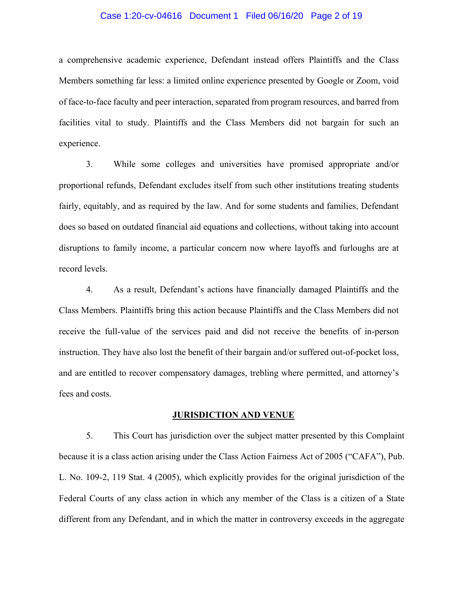### Case 1:20-cv-04616 Document 1 Filed 06/16/20 Page 2 of 19

a comprehensive academic experience, Defendant instead offers Plaintiffs and the Class Members something far less: a limited online experience presented by Google or Zoom, void of face-to-face faculty and peer interaction, separated from program resources, and barred from facilities vital to study. Plaintiffs and the Class Members did not bargain for such an experience.

3. While some colleges and universities have promised appropriate and/or proportional refunds, Defendant excludes itself from such other institutions treating students fairly, equitably, and as required by the law. And for some students and families, Defendant does so based on outdated financial aid equations and collections, without taking into account disruptions to family income, a particular concern now where layoffs and furloughs are at record levels.

4. As a result, Defendant's actions have financially damaged Plaintiffs and the Class Members. Plaintiffs bring this action because Plaintiffs and the Class Members did not receive the full-value of the services paid and did not receive the benefits of in-person instruction. They have also lost the benefit of their bargain and/or suffered out-of-pocket loss, and are entitled to recover compensatory damages, trebling where permitted, and attorney's fees and costs.

#### **JURISDICTION AND VENUE**

5. This Court has jurisdiction over the subject matter presented by this Complaint because it is a class action arising under the Class Action Fairness Act of 2005 ("CAFA"), Pub. L. No. 109-2, 119 Stat. 4 (2005), which explicitly provides for the original jurisdiction of the Federal Courts of any class action in which any member of the Class is a citizen of a State different from any Defendant, and in which the matter in controversy exceeds in the aggregate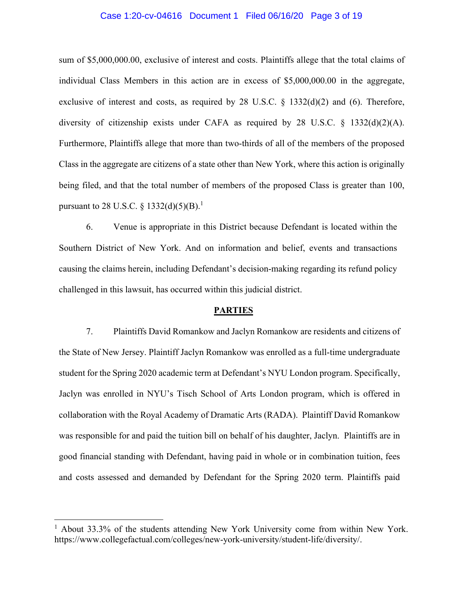### Case 1:20-cv-04616 Document 1 Filed 06/16/20 Page 3 of 19

sum of \$5,000,000.00, exclusive of interest and costs. Plaintiffs allege that the total claims of individual Class Members in this action are in excess of \$5,000,000.00 in the aggregate, exclusive of interest and costs, as required by 28 U.S.C. § 1332(d)(2) and (6). Therefore, diversity of citizenship exists under CAFA as required by 28 U.S.C. § 1332(d)(2)(A). Furthermore, Plaintiffs allege that more than two-thirds of all of the members of the proposed Class in the aggregate are citizens of a state other than New York, where this action is originally being filed, and that the total number of members of the proposed Class is greater than 100, pursuant to 28 U.S.C.  $\S 1332(d)(5)(B).<sup>1</sup>$ 

6. Venue is appropriate in this District because Defendant is located within the Southern District of New York. And on information and belief, events and transactions causing the claims herein, including Defendant's decision-making regarding its refund policy challenged in this lawsuit, has occurred within this judicial district.

#### **PARTIES**

7. Plaintiffs David Romankow and Jaclyn Romankow are residents and citizens of the State of New Jersey. Plaintiff Jaclyn Romankow was enrolled as a full-time undergraduate student for the Spring 2020 academic term at Defendant's NYU London program. Specifically, Jaclyn was enrolled in NYU's Tisch School of Arts London program, which is offered in collaboration with the Royal Academy of Dramatic Arts (RADA). Plaintiff David Romankow was responsible for and paid the tuition bill on behalf of his daughter, Jaclyn. Plaintiffs are in good financial standing with Defendant, having paid in whole or in combination tuition, fees and costs assessed and demanded by Defendant for the Spring 2020 term. Plaintiffs paid

<sup>&</sup>lt;sup>1</sup> About 33.3% of the students attending New York University come from within New York. https://www.collegefactual.com/colleges/new-york-university/student-life/diversity/.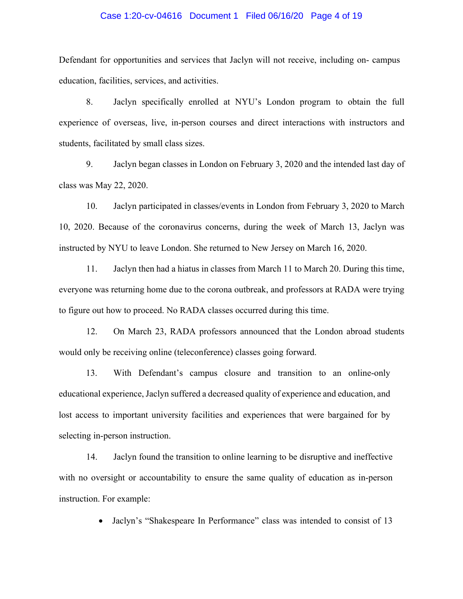### Case 1:20-cv-04616 Document 1 Filed 06/16/20 Page 4 of 19

Defendant for opportunities and services that Jaclyn will not receive, including on- campus education, facilities, services, and activities.

8. Jaclyn specifically enrolled at NYU's London program to obtain the full experience of overseas, live, in-person courses and direct interactions with instructors and students, facilitated by small class sizes.

9. Jaclyn began classes in London on February 3, 2020 and the intended last day of class was May 22, 2020.

10. Jaclyn participated in classes/events in London from February 3, 2020 to March 10, 2020. Because of the coronavirus concerns, during the week of March 13, Jaclyn was instructed by NYU to leave London. She returned to New Jersey on March 16, 2020.

11. Jaclyn then had a hiatus in classes from March 11 to March 20. During this time, everyone was returning home due to the corona outbreak, and professors at RADA were trying to figure out how to proceed. No RADA classes occurred during this time.

12. On March 23, RADA professors announced that the London abroad students would only be receiving online (teleconference) classes going forward.

13. With Defendant's campus closure and transition to an online-only educational experience, Jaclyn suffered a decreased quality of experience and education, and lost access to important university facilities and experiences that were bargained for by selecting in-person instruction.

14. Jaclyn found the transition to online learning to be disruptive and ineffective with no oversight or accountability to ensure the same quality of education as in-person instruction. For example:

• Jaclyn's "Shakespeare In Performance" class was intended to consist of 13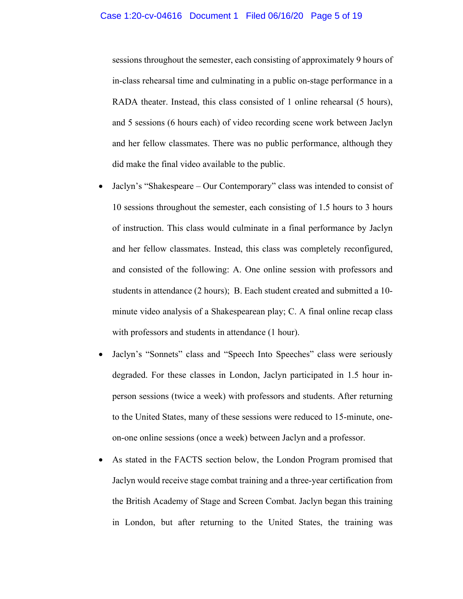sessions throughout the semester, each consisting of approximately 9 hours of in-class rehearsal time and culminating in a public on-stage performance in a RADA theater. Instead, this class consisted of 1 online rehearsal (5 hours), and 5 sessions (6 hours each) of video recording scene work between Jaclyn and her fellow classmates. There was no public performance, although they did make the final video available to the public.

- Jaclyn's "Shakespeare Our Contemporary" class was intended to consist of 10 sessions throughout the semester, each consisting of 1.5 hours to 3 hours of instruction. This class would culminate in a final performance by Jaclyn and her fellow classmates. Instead, this class was completely reconfigured, and consisted of the following: A. One online session with professors and students in attendance (2 hours); B. Each student created and submitted a 10 minute video analysis of a Shakespearean play; C. A final online recap class with professors and students in attendance (1 hour).
- Jaclyn's "Sonnets" class and "Speech Into Speeches" class were seriously degraded. For these classes in London, Jaclyn participated in 1.5 hour inperson sessions (twice a week) with professors and students. After returning to the United States, many of these sessions were reduced to 15-minute, oneon-one online sessions (once a week) between Jaclyn and a professor.
- As stated in the FACTS section below, the London Program promised that Jaclyn would receive stage combat training and a three-year certification from the British Academy of Stage and Screen Combat. Jaclyn began this training in London, but after returning to the United States, the training was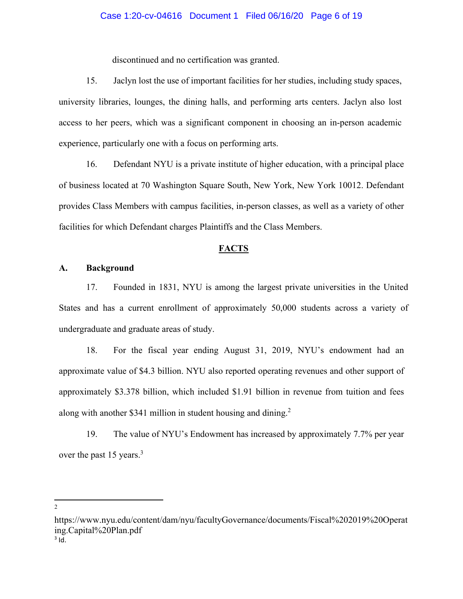### Case 1:20-cv-04616 Document 1 Filed 06/16/20 Page 6 of 19

discontinued and no certification was granted.

15. Jaclyn lost the use of important facilities for her studies, including study spaces, university libraries, lounges, the dining halls, and performing arts centers. Jaclyn also lost access to her peers, which was a significant component in choosing an in-person academic experience, particularly one with a focus on performing arts.

16. Defendant NYU is a private institute of higher education, with a principal place of business located at 70 Washington Square South, New York, New York 10012. Defendant provides Class Members with campus facilities, in-person classes, as well as a variety of other facilities for which Defendant charges Plaintiffs and the Class Members.

#### **FACTS**

### **A. Background**

17. Founded in 1831, NYU is among the largest private universities in the United States and has a current enrollment of approximately 50,000 students across a variety of undergraduate and graduate areas of study.

18. For the fiscal year ending August 31, 2019, NYU's endowment had an approximate value of \$4.3 billion. NYU also reported operating revenues and other support of approximately \$3.378 billion, which included \$1.91 billion in revenue from tuition and fees along with another \$341 million in student housing and dining.<sup>2</sup>

19. The value of NYU's Endowment has increased by approximately 7.7% per year over the past 15 years.<sup>3</sup>

2

https://www.nyu.edu/content/dam/nyu/facultyGovernance/documents/Fiscal%202019%20Operat ing.Capital%20Plan.pdf  $3$  Id.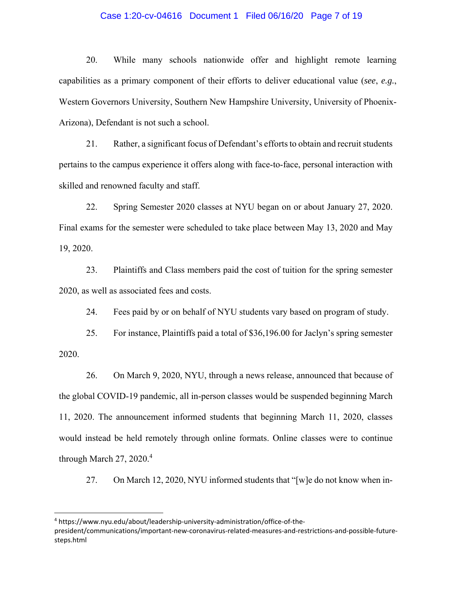### Case 1:20-cv-04616 Document 1 Filed 06/16/20 Page 7 of 19

20. While many schools nationwide offer and highlight remote learning capabilities as a primary component of their efforts to deliver educational value (*see*, *e.g.*, Western Governors University, Southern New Hampshire University, University of Phoenix-Arizona), Defendant is not such a school.

21. Rather, a significant focus of Defendant's efforts to obtain and recruit students pertains to the campus experience it offers along with face-to-face, personal interaction with skilled and renowned faculty and staff.

22. Spring Semester 2020 classes at NYU began on or about January 27, 2020. Final exams for the semester were scheduled to take place between May 13, 2020 and May 19, 2020.

23. Plaintiffs and Class members paid the cost of tuition for the spring semester 2020, as well as associated fees and costs.

24. Fees paid by or on behalf of NYU students vary based on program of study.

25. For instance, Plaintiffs paid a total of \$36,196.00 for Jaclyn's spring semester 2020.

26. On March 9, 2020, NYU, through a news release, announced that because of the global COVID-19 pandemic, all in-person classes would be suspended beginning March 11, 2020. The announcement informed students that beginning March 11, 2020, classes would instead be held remotely through online formats. Online classes were to continue through March  $27, 2020$ .<sup>4</sup>

27. On March 12, 2020, NYU informed students that "[w]e do not know when in-

<sup>4</sup> https://www.nyu.edu/about/leadership‐university‐administration/office‐of‐the‐ president/communications/important‐new‐coronavirus‐related‐measures‐and‐restrictions‐and‐possible‐future‐ steps.html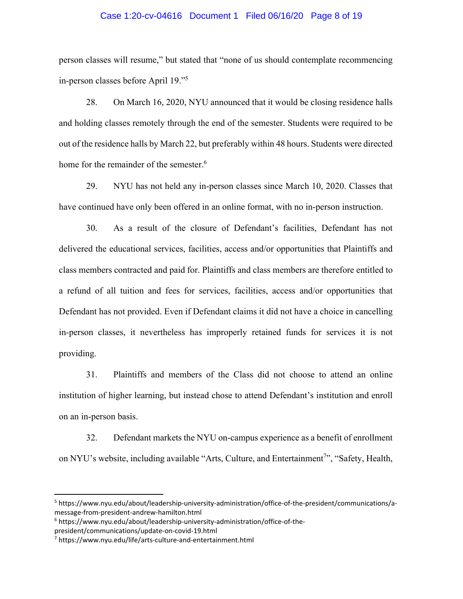### Case 1:20-cv-04616 Document 1 Filed 06/16/20 Page 8 of 19

person classes will resume," but stated that "none of us should contemplate recommencing in-person classes before April 19."5

28. On March 16, 2020, NYU announced that it would be closing residence halls and holding classes remotely through the end of the semester. Students were required to be out of the residence halls by March 22, but preferably within 48 hours. Students were directed home for the remainder of the semester.<sup>6</sup>

29. NYU has not held any in-person classes since March 10, 2020. Classes that have continued have only been offered in an online format, with no in-person instruction.

30. As a result of the closure of Defendant's facilities, Defendant has not delivered the educational services, facilities, access and/or opportunities that Plaintiffs and class members contracted and paid for. Plaintiffs and class members are therefore entitled to a refund of all tuition and fees for services, facilities, access and/or opportunities that Defendant has not provided. Even if Defendant claims it did not have a choice in cancelling in-person classes, it nevertheless has improperly retained funds for services it is not providing.

31. Plaintiffs and members of the Class did not choose to attend an online institution of higher learning, but instead chose to attend Defendant's institution and enroll on an in-person basis.

32. Defendant markets the NYU on-campus experience as a benefit of enrollment on NYU's website, including available "Arts, Culture, and Entertainment<sup>7</sup>", "Safety, Health,

<sup>&</sup>lt;sup>5</sup> https://www.nyu.edu/about/leadership-university-administration/office-of-the-president/communications/amessage‐from‐president‐andrew‐hamilton.html

<sup>6</sup> https://www.nyu.edu/about/leadership‐university‐administration/office‐of‐the‐ president/communications/update‐on‐covid‐19.html

<sup>7</sup> https://www.nyu.edu/life/arts‐culture‐and‐entertainment.html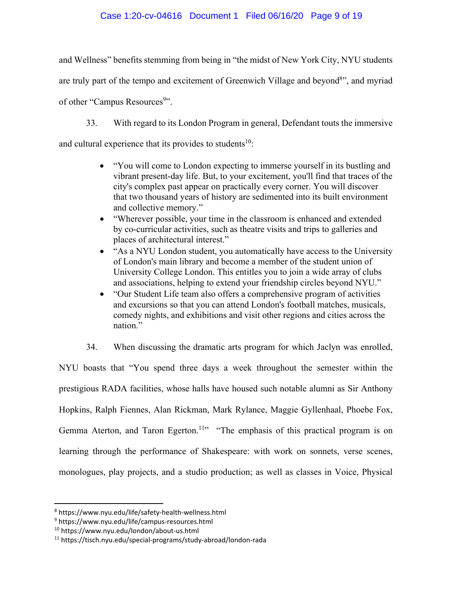# Case 1:20-cv-04616 Document 1 Filed 06/16/20 Page 9 of 19

and Wellness" benefits stemming from being in "the midst of New York City, NYU students are truly part of the tempo and excitement of Greenwich Village and beyond<sup>8</sup>", and myriad of other "Campus Resources<sup>9</sup>".

33. With regard to its London Program in general, Defendant touts the immersive

and cultural experience that its provides to students<sup>10</sup>:

- "You will come to London expecting to immerse yourself in its bustling and vibrant present-day life. But, to your excitement, you'll find that traces of the city's complex past appear on practically every corner. You will discover that two thousand years of history are sedimented into its built environment and collective memory."
- "Wherever possible, your time in the classroom is enhanced and extended by co-curricular activities, such as theatre visits and trips to galleries and places of architectural interest."
- "As a NYU London student, you automatically have access to the University of London's main library and become a member of the student union of University College London. This entitles you to join a wide array of clubs and associations, helping to extend your friendship circles beyond NYU."
- "Our Student Life team also offers a comprehensive program of activities and excursions so that you can attend London's football matches, musicals, comedy nights, and exhibitions and visit other regions and cities across the nation."
- 34. When discussing the dramatic arts program for which Jaclyn was enrolled,

NYU boasts that "You spend three days a week throughout the semester within the prestigious RADA facilities, whose halls have housed such notable alumni as Sir Anthony Hopkins, Ralph Fiennes, Alan Rickman, Mark Rylance, Maggie Gyllenhaal, Phoebe Fox, Gemma Aterton, and Taron Egerton.<sup>11</sup>" "The emphasis of this practical program is on learning through the performance of Shakespeare: with work on sonnets, verse scenes, monologues, play projects, and a studio production; as well as classes in Voice, Physical

<sup>8</sup> https://www.nyu.edu/life/safety‐health‐wellness.html

<sup>9</sup> https://www.nyu.edu/life/campus‐resources.html

<sup>10</sup> https://www.nyu.edu/london/about‐us.html

<sup>11</sup> https://tisch.nyu.edu/special‐programs/study‐abroad/london‐rada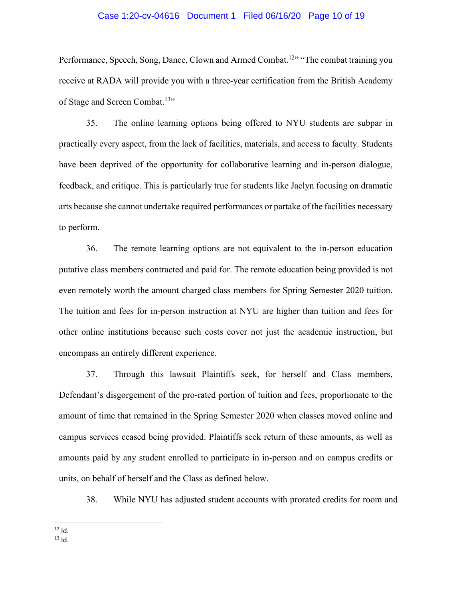### Case 1:20-cv-04616 Document 1 Filed 06/16/20 Page 10 of 19

Performance, Speech, Song, Dance, Clown and Armed Combat.<sup>12</sup> "The combat training you receive at RADA will provide you with a three-year certification from the British Academy of Stage and Screen Combat.<sup>13</sup>"

35. The online learning options being offered to NYU students are subpar in practically every aspect, from the lack of facilities, materials, and access to faculty. Students have been deprived of the opportunity for collaborative learning and in-person dialogue, feedback, and critique. This is particularly true for students like Jaclyn focusing on dramatic arts because she cannot undertake required performances or partake of the facilities necessary to perform.

36. The remote learning options are not equivalent to the in-person education putative class members contracted and paid for. The remote education being provided is not even remotely worth the amount charged class members for Spring Semester 2020 tuition. The tuition and fees for in-person instruction at NYU are higher than tuition and fees for other online institutions because such costs cover not just the academic instruction, but encompass an entirely different experience.

37. Through this lawsuit Plaintiffs seek, for herself and Class members, Defendant's disgorgement of the pro-rated portion of tuition and fees, proportionate to the amount of time that remained in the Spring Semester 2020 when classes moved online and campus services ceased being provided. Plaintiffs seek return of these amounts, as well as amounts paid by any student enrolled to participate in in-person and on campus credits or units, on behalf of herself and the Class as defined below.

38. While NYU has adjusted student accounts with prorated credits for room and

 $12$  Id.  $13$  Id.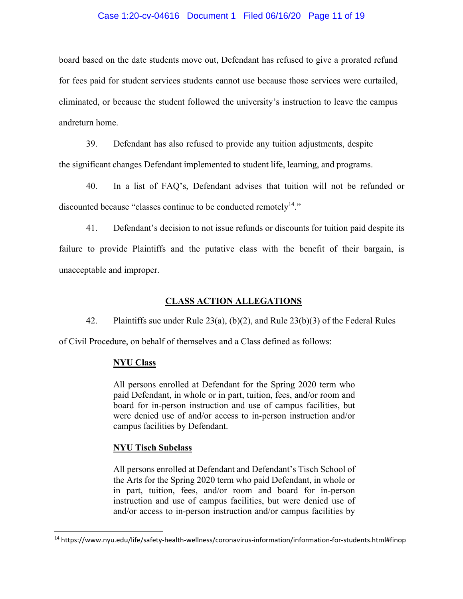## Case 1:20-cv-04616 Document 1 Filed 06/16/20 Page 11 of 19

board based on the date students move out, Defendant has refused to give a prorated refund for fees paid for student services students cannot use because those services were curtailed, eliminated, or because the student followed the university's instruction to leave the campus andreturn home.

39. Defendant has also refused to provide any tuition adjustments, despite the significant changes Defendant implemented to student life, learning, and programs.

40. In a list of FAQ's, Defendant advises that tuition will not be refunded or discounted because "classes continue to be conducted remotely<sup>14</sup>."

41. Defendant's decision to not issue refunds or discounts for tuition paid despite its failure to provide Plaintiffs and the putative class with the benefit of their bargain, is unacceptable and improper.

# **CLASS ACTION ALLEGATIONS**

42. Plaintiffs sue under Rule 23(a), (b)(2), and Rule 23(b)(3) of the Federal Rules

of Civil Procedure, on behalf of themselves and a Class defined as follows:

## **NYU Class**

All persons enrolled at Defendant for the Spring 2020 term who paid Defendant, in whole or in part, tuition, fees, and/or room and board for in-person instruction and use of campus facilities, but were denied use of and/or access to in-person instruction and/or campus facilities by Defendant.

## **NYU Tisch Subclass**

All persons enrolled at Defendant and Defendant's Tisch School of the Arts for the Spring 2020 term who paid Defendant, in whole or in part, tuition, fees, and/or room and board for in-person instruction and use of campus facilities, but were denied use of and/or access to in-person instruction and/or campus facilities by

<sup>14</sup> https://www.nyu.edu/life/safety‐health‐wellness/coronavirus‐information/information‐for‐students.html#finop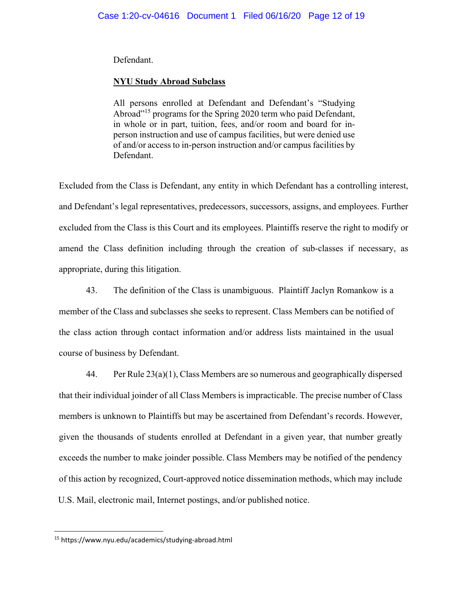Defendant.

# **NYU Study Abroad Subclass**

All persons enrolled at Defendant and Defendant's "Studying Abroad"<sup>15</sup> programs for the Spring 2020 term who paid Defendant, in whole or in part, tuition, fees, and/or room and board for inperson instruction and use of campus facilities, but were denied use of and/or access to in-person instruction and/or campus facilities by Defendant.

Excluded from the Class is Defendant, any entity in which Defendant has a controlling interest, and Defendant's legal representatives, predecessors, successors, assigns, and employees. Further excluded from the Class is this Court and its employees. Plaintiffs reserve the right to modify or amend the Class definition including through the creation of sub-classes if necessary, as appropriate, during this litigation.

43. The definition of the Class is unambiguous. Plaintiff Jaclyn Romankow is a member of the Class and subclasses she seeks to represent. Class Members can be notified of the class action through contact information and/or address lists maintained in the usual course of business by Defendant.

44. Per Rule 23(a)(1), Class Members are so numerous and geographically dispersed that their individual joinder of all Class Members is impracticable. The precise number of Class members is unknown to Plaintiffs but may be ascertained from Defendant's records. However, given the thousands of students enrolled at Defendant in a given year, that number greatly exceeds the number to make joinder possible. Class Members may be notified of the pendency of this action by recognized, Court-approved notice dissemination methods, which may include U.S. Mail, electronic mail, Internet postings, and/or published notice.

<sup>15</sup> https://www.nyu.edu/academics/studying‐abroad.html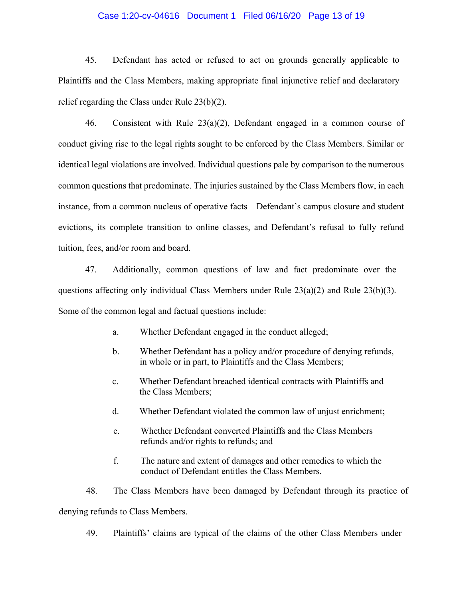### Case 1:20-cv-04616 Document 1 Filed 06/16/20 Page 13 of 19

45. Defendant has acted or refused to act on grounds generally applicable to Plaintiffs and the Class Members, making appropriate final injunctive relief and declaratory relief regarding the Class under Rule 23(b)(2).

46. Consistent with Rule 23(a)(2), Defendant engaged in a common course of conduct giving rise to the legal rights sought to be enforced by the Class Members. Similar or identical legal violations are involved. Individual questions pale by comparison to the numerous common questions that predominate. The injuries sustained by the Class Members flow, in each instance, from a common nucleus of operative facts—Defendant's campus closure and student evictions, its complete transition to online classes, and Defendant's refusal to fully refund tuition, fees, and/or room and board.

47. Additionally, common questions of law and fact predominate over the questions affecting only individual Class Members under Rule 23(a)(2) and Rule 23(b)(3). Some of the common legal and factual questions include:

- a. Whether Defendant engaged in the conduct alleged;
- b. Whether Defendant has a policy and/or procedure of denying refunds, in whole or in part, to Plaintiffs and the Class Members;
- c. Whether Defendant breached identical contracts with Plaintiffs and the Class Members;
- d. Whether Defendant violated the common law of unjust enrichment;
- e. Whether Defendant converted Plaintiffs and the Class Members refunds and/or rights to refunds; and
- f. The nature and extent of damages and other remedies to which the conduct of Defendant entitles the Class Members.

48. The Class Members have been damaged by Defendant through its practice of denying refunds to Class Members.

49. Plaintiffs' claims are typical of the claims of the other Class Members under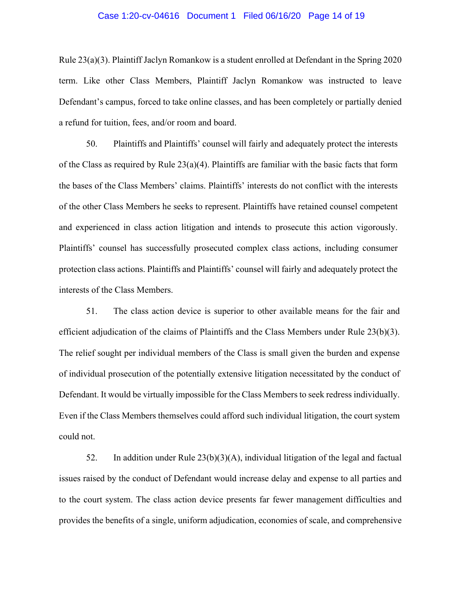### Case 1:20-cv-04616 Document 1 Filed 06/16/20 Page 14 of 19

Rule 23(a)(3). Plaintiff Jaclyn Romankow is a student enrolled at Defendant in the Spring 2020 term. Like other Class Members, Plaintiff Jaclyn Romankow was instructed to leave Defendant's campus, forced to take online classes, and has been completely or partially denied a refund for tuition, fees, and/or room and board.

50. Plaintiffs and Plaintiffs' counsel will fairly and adequately protect the interests of the Class as required by Rule  $23(a)(4)$ . Plaintiffs are familiar with the basic facts that form the bases of the Class Members' claims. Plaintiffs' interests do not conflict with the interests of the other Class Members he seeks to represent. Plaintiffs have retained counsel competent and experienced in class action litigation and intends to prosecute this action vigorously. Plaintiffs' counsel has successfully prosecuted complex class actions, including consumer protection class actions. Plaintiffs and Plaintiffs' counsel will fairly and adequately protect the interests of the Class Members.

51. The class action device is superior to other available means for the fair and efficient adjudication of the claims of Plaintiffs and the Class Members under Rule 23(b)(3). The relief sought per individual members of the Class is small given the burden and expense of individual prosecution of the potentially extensive litigation necessitated by the conduct of Defendant. It would be virtually impossible for the Class Members to seek redress individually. Even if the Class Members themselves could afford such individual litigation, the court system could not.

52. In addition under Rule 23(b)(3)(A), individual litigation of the legal and factual issues raised by the conduct of Defendant would increase delay and expense to all parties and to the court system. The class action device presents far fewer management difficulties and provides the benefits of a single, uniform adjudication, economies of scale, and comprehensive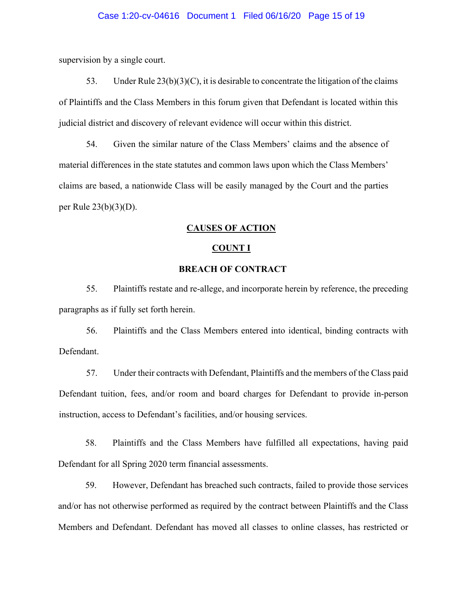supervision by a single court.

53. Under Rule  $23(b)(3)(C)$ , it is desirable to concentrate the litigation of the claims of Plaintiffs and the Class Members in this forum given that Defendant is located within this judicial district and discovery of relevant evidence will occur within this district.

54. Given the similar nature of the Class Members' claims and the absence of material differences in the state statutes and common laws upon which the Class Members' claims are based, a nationwide Class will be easily managed by the Court and the parties per Rule 23(b)(3)(D).

### **CAUSES OF ACTION**

#### **COUNT I**

## **BREACH OF CONTRACT**

55. Plaintiffs restate and re-allege, and incorporate herein by reference, the preceding paragraphs as if fully set forth herein.

56. Plaintiffs and the Class Members entered into identical, binding contracts with Defendant.

57. Under their contracts with Defendant, Plaintiffs and the members of the Class paid Defendant tuition, fees, and/or room and board charges for Defendant to provide in-person instruction, access to Defendant's facilities, and/or housing services.

58. Plaintiffs and the Class Members have fulfilled all expectations, having paid Defendant for all Spring 2020 term financial assessments.

59. However, Defendant has breached such contracts, failed to provide those services and/or has not otherwise performed as required by the contract between Plaintiffs and the Class Members and Defendant. Defendant has moved all classes to online classes, has restricted or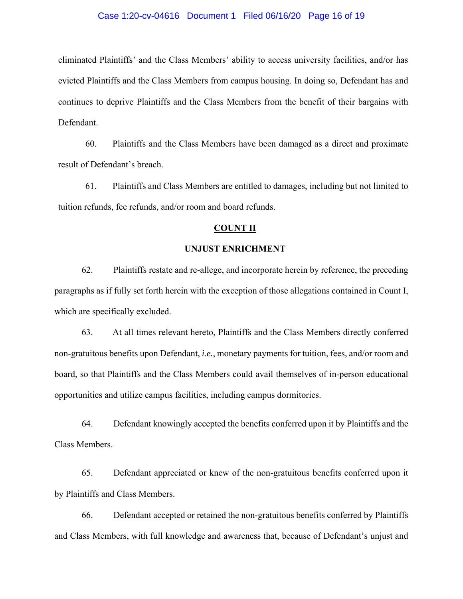### Case 1:20-cv-04616 Document 1 Filed 06/16/20 Page 16 of 19

eliminated Plaintiffs' and the Class Members' ability to access university facilities, and/or has evicted Plaintiffs and the Class Members from campus housing. In doing so, Defendant has and continues to deprive Plaintiffs and the Class Members from the benefit of their bargains with Defendant.

60. Plaintiffs and the Class Members have been damaged as a direct and proximate result of Defendant's breach.

61. Plaintiffs and Class Members are entitled to damages, including but not limited to tuition refunds, fee refunds, and/or room and board refunds.

### **COUNT II**

### **UNJUST ENRICHMENT**

62. Plaintiffs restate and re-allege, and incorporate herein by reference, the preceding paragraphs as if fully set forth herein with the exception of those allegations contained in Count I, which are specifically excluded.

63. At all times relevant hereto, Plaintiffs and the Class Members directly conferred non-gratuitous benefits upon Defendant, *i.e.*, monetary payments for tuition, fees, and/or room and board, so that Plaintiffs and the Class Members could avail themselves of in-person educational opportunities and utilize campus facilities, including campus dormitories.

64. Defendant knowingly accepted the benefits conferred upon it by Plaintiffs and the Class Members.

65. Defendant appreciated or knew of the non-gratuitous benefits conferred upon it by Plaintiffs and Class Members.

66. Defendant accepted or retained the non-gratuitous benefits conferred by Plaintiffs and Class Members, with full knowledge and awareness that, because of Defendant's unjust and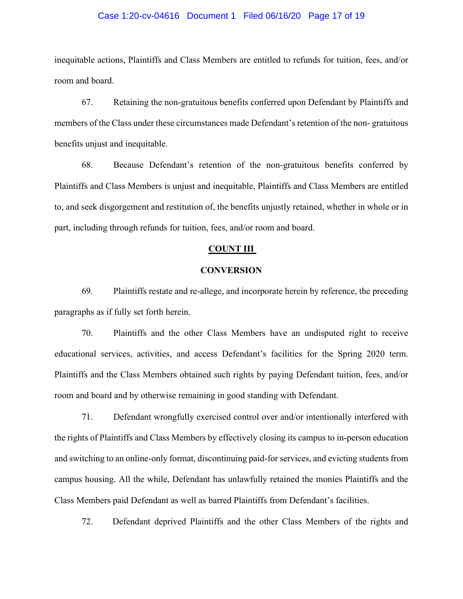### Case 1:20-cv-04616 Document 1 Filed 06/16/20 Page 17 of 19

inequitable actions, Plaintiffs and Class Members are entitled to refunds for tuition, fees, and/or room and board.

67. Retaining the non-gratuitous benefits conferred upon Defendant by Plaintiffs and members of the Class under these circumstances made Defendant's retention of the non- gratuitous benefits unjust and inequitable.

68. Because Defendant's retention of the non-gratuitous benefits conferred by Plaintiffs and Class Members is unjust and inequitable, Plaintiffs and Class Members are entitled to, and seek disgorgement and restitution of, the benefits unjustly retained, whether in whole or in part, including through refunds for tuition, fees, and/or room and board.

## **COUNT III**

## **CONVERSION**

69. Plaintiffs restate and re-allege, and incorporate herein by reference, the preceding paragraphs as if fully set forth herein.

70. Plaintiffs and the other Class Members have an undisputed right to receive educational services, activities, and access Defendant's facilities for the Spring 2020 term. Plaintiffs and the Class Members obtained such rights by paying Defendant tuition, fees, and/or room and board and by otherwise remaining in good standing with Defendant.

71. Defendant wrongfully exercised control over and/or intentionally interfered with the rights of Plaintiffs and Class Members by effectively closing its campus to in-person education and switching to an online-only format, discontinuing paid-for services, and evicting students from campus housing. All the while, Defendant has unlawfully retained the monies Plaintiffs and the Class Members paid Defendant as well as barred Plaintiffs from Defendant's facilities.

72. Defendant deprived Plaintiffs and the other Class Members of the rights and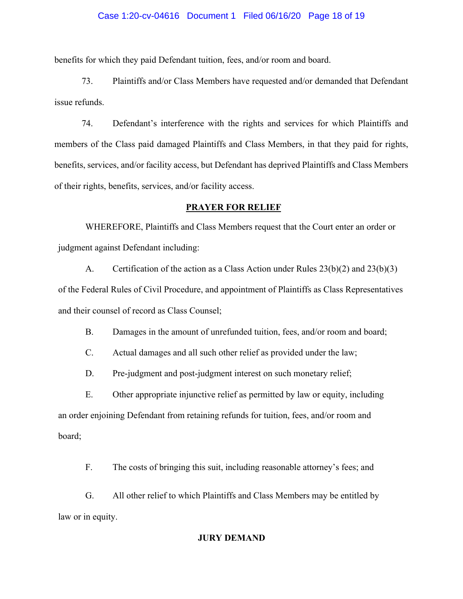#### Case 1:20-cv-04616 Document 1 Filed 06/16/20 Page 18 of 19

benefits for which they paid Defendant tuition, fees, and/or room and board.

73. Plaintiffs and/or Class Members have requested and/or demanded that Defendant issue refunds.

74. Defendant's interference with the rights and services for which Plaintiffs and members of the Class paid damaged Plaintiffs and Class Members, in that they paid for rights, benefits, services, and/or facility access, but Defendant has deprived Plaintiffs and Class Members of their rights, benefits, services, and/or facility access.

### **PRAYER FOR RELIEF**

WHEREFORE, Plaintiffs and Class Members request that the Court enter an order or judgment against Defendant including:

A. Certification of the action as a Class Action under Rules 23(b)(2) and 23(b)(3) of the Federal Rules of Civil Procedure, and appointment of Plaintiffs as Class Representatives and their counsel of record as Class Counsel;

B. Damages in the amount of unrefunded tuition, fees, and/or room and board;

C. Actual damages and all such other relief as provided under the law;

D. Pre-judgment and post-judgment interest on such monetary relief;

E. Other appropriate injunctive relief as permitted by law or equity, including an order enjoining Defendant from retaining refunds for tuition, fees, and/or room and board;

F. The costs of bringing this suit, including reasonable attorney's fees; and

G. All other relief to which Plaintiffs and Class Members may be entitled by law or in equity.

## **JURY DEMAND**